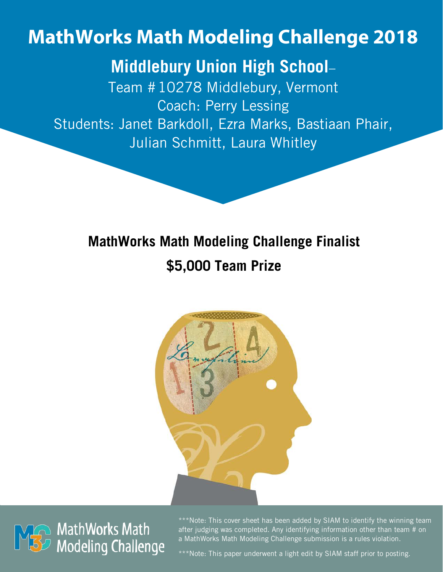# **MathWorks Math Modeling Challenge 2018**

## **Middlebury Union High School**–

Team #10278 Middlebury, Vermont Coach: Perry Lessing Students: Janet Barkdoll, Ezra Marks, Bastiaan Phair, Julian Schmitt, Laura Whitley

## **MathWorks Math Modeling Challenge Finalist \$5,000 Team Prize**





\*\*\*Note: This cover sheet has been added by SIAM to identify the winning team after judging was completed. Any identifying information other than team # on a MathWorks Math Modeling Challenge submission is a rules violation.

\*\*\*Note: This paper underwent a light edit by SIAM staff prior to posting.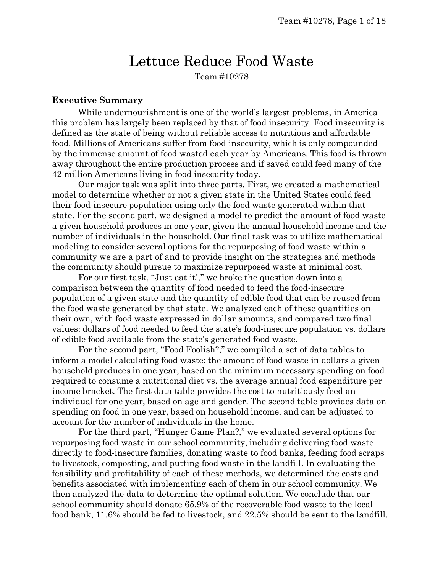### Lettuce Reduce Food Waste Team #10278

#### **Executive Summary**

While undernourishmentis one of the world's largest problems, in America this problem has largely been replaced by that of food insecurity. Food insecurity is defined as the state of being without reliable access to nutritious and affordable food. Millions of Americans suffer from food insecurity, which is only compounded by the immense amount of food wasted each year by Americans. This food is thrown away throughout the entire production process and if saved could feed many of the 42 million Americans living in food insecurity today.

Our major task was split into three parts. First, we created a mathematical model to determine whether or not a given state in the United States could feed their food-insecure population using only the food waste generated within that state. For the second part, we designed a model to predict the amount of food waste a given household produces in one year, given the annual household income and the number of individuals in the household. Our final task was to utilize mathematical modeling to consider several options for the repurposing of food waste within a community we are a part of and to provide insight on the strategies and methods the community should pursue to maximize repurposed waste at minimal cost.

For our first task, "Just eat it!," we broke the question down into a comparison between the quantity of food needed to feed the food-insecure population of a given state and the quantity of edible food that can be reused from the food waste generated by that state. We analyzed each of these quantities on their own, with food waste expressed in dollar amounts, and compared two final values: dollars of food needed to feed the state's food-insecure population vs. dollars of edible food available from the state's generated food waste.

For the second part, "Food Foolish?," we compiled a set of data tables to inform a model calculating food waste: the amount of food waste in dollars a given household produces in one year, based on the minimum necessary spending on food required to consume a nutritional diet vs. the average annual food expenditure per income bracket. The first data table provides the cost to nutritiously feed an individual for one year, based on age and gender. The second table provides data on spending on food in one year, based on household income, and can be adjusted to account for the number of individuals in the home.

For the third part, "Hunger Game Plan?," we evaluated several options for repurposing food waste in our school community, including delivering food waste directly to food-insecure families, donating waste to food banks, feeding food scraps to livestock, composting, and putting food waste in the landfill. In evaluating the feasibility and profitability of each of these methods, we determined the costs and benefits associated with implementing each of them in our school community. We then analyzed the data to determine the optimal solution. We conclude that our school community should donate 65.9% of the recoverable food waste to the local food bank, 11.6% should be fed to livestock, and 22.5% should be sent to the landfill.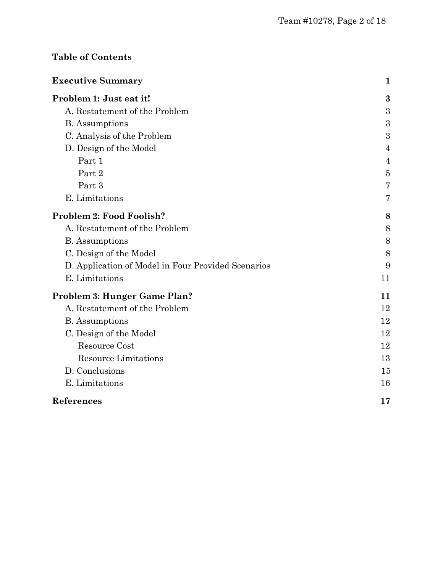### **Table of Contents**

| <b>Executive Summary</b>                           | 1              |
|----------------------------------------------------|----------------|
| Problem 1: Just eat it!                            | 3              |
| A. Restatement of the Problem                      | 3              |
| <b>B.</b> Assumptions                              | 3              |
| C. Analysis of the Problem                         | 3              |
| D. Design of the Model                             | $\overline{4}$ |
| Part 1                                             | $\overline{4}$ |
| Part 2                                             | $\overline{5}$ |
| Part 3                                             | 7              |
| E. Limitations                                     | 7              |
| Problem 2: Food Foolish?                           | 8              |
| A. Restatement of the Problem                      | 8              |
| <b>B.</b> Assumptions                              | 8              |
| C. Design of the Model                             | 8              |
| D. Application of Model in Four Provided Scenarios | 9              |
| E. Limitations                                     | 11             |
| Problem 3: Hunger Game Plan?                       | 11             |
| A. Restatement of the Problem                      | 12             |
| <b>B.</b> Assumptions                              | 12             |
| C. Design of the Model                             | 12             |
| Resource Cost                                      | 12             |
| <b>Resource Limitations</b>                        | 13             |
| D. Conclusions                                     | 15             |
| E. Limitations                                     | 16             |
| References                                         | 17             |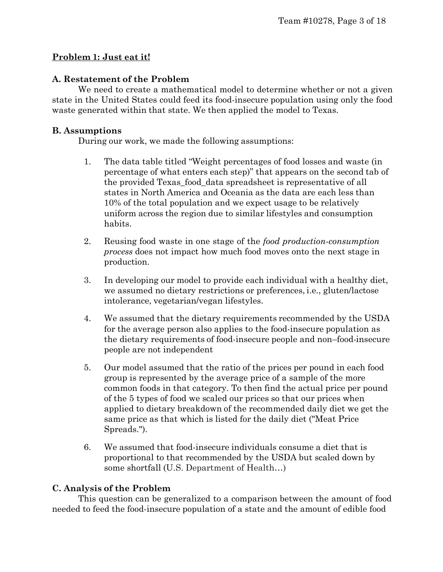#### **Problem 1: Just eat it!**

#### **A. Restatement of the Problem**

We need to create a mathematical model to determine whether or not a given state in the United States could feed its food-insecure population using only the food waste generated within that state. We then applied the model to Texas.

#### **B. Assumptions**

During our work, we made the following assumptions:

- 1. The data table titled "Weight percentages of food losses and waste (in percentage of what enters each step)" that appears on the second tab of the provided Texas\_food\_data spreadsheet is representative of all states in North America and Oceania as the data are each less than 10% of the total population and we expect usage to be relatively uniform across the region due to similar lifestyles and consumption habits.
- 2. Reusing food waste in one stage of the *food production-consumption process* does not impact how much food moves onto the next stage in production.
- 3. In developing our model to provide each individual with a healthy diet, we assumed no dietary restrictions or preferences, i.e., gluten/lactose intolerance, vegetarian/vegan lifestyles.
- 4. We assumed that the dietary requirements recommended by the USDA for the average person also applies to the food-insecure population as the dietary requirements of food-insecure people and non–food-insecure people are not independent
- 5. Our model assumed that the ratio of the prices per pound in each food group is represented by the average price of a sample of the more common foods in that category. To then find the actual price per pound of the 5 types of food we scaled our prices so that our prices when applied to dietary breakdown of the recommended daily diet we get the same price as that which is listed for the daily diet ("Meat Price Spreads.").
- 6. We assumed that food-insecure individuals consume a diet that is proportional to that recommended by the USDA but scaled down by some shortfall (U.S. Department of Health…)

#### **C. Analysis of the Problem**

This question can be generalized to a comparison between the amount of food needed to feed the food-insecure population of a state and the amount of edible food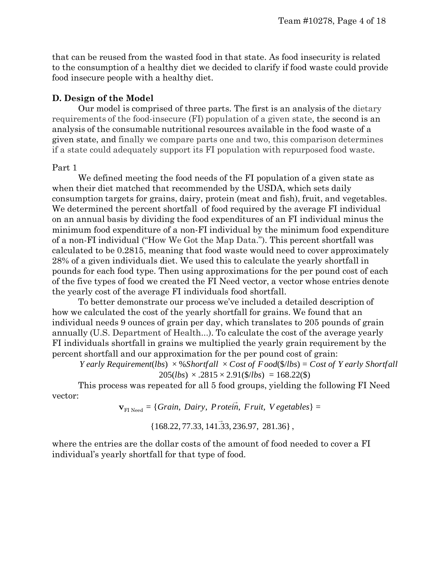that can be reused from the wasted food in that state. As food insecurity is related to the consumption of a healthy diet we decided to clarify if food waste could provide food insecure people with a healthy diet.

#### **D. Design of the Model**

Our model is comprised of three parts. The first is an analysis of the dietary requirements of the food-insecure (FI) population of a given state, the second is an analysis of the consumable nutritional resources available in the food waste of a given state, and finally we compare parts one and two, this comparison determines if a state could adequately support its FI population with repurposed food waste.

#### Part 1

We defined meeting the food needs of the FI population of a given state as when their diet matched that recommended by the USDA, which sets daily consumption targets for grains, dairy, protein (meat and fish), fruit, and vegetables. We determined the percent shortfall of food required by the average FI individual on an annual basis by dividing the food expenditures of an FI individual minus the minimum food expenditure of a non-FI individual by the minimum food expenditure of a non-FI individual ("How We Got the Map Data."). This percent shortfall was calculated to be 0.2815, meaning that food waste would need to cover approximately 28% of a given individuals diet. We used this to calculate the yearly shortfall in pounds for each food type. Then using approximations for the per pound cost of each of the five types of food we created the FI Need vector, a vector whose entries denote the yearly cost of the average FI individuals food shortfall.

To better demonstrate our process we've included a detailed description of how we calculated the cost of the yearly shortfall for grains. We found that an individual needs 9 ounces of grain per day, which translates to 205 pounds of grain annually (U.S. Department of Health...). To calculate the cost of the average yearly FI individuals shortfall in grains we multiplied the yearly grain requirement by the percent shortfall and our approximation for the per pound cost of grain:

*Y early Requirement*(*lbs*) × %*Shortfall* × *Cost of Food*(\$/*lbs*) = *Cost of Y early Shortfall*  $205(lbs) \times .2815 \times 2.91(\frac{1}{16}s) = 168.22(\text{S})$ 

This process was repeated for all 5 food groups, yielding the following FI Need vector:

 $\mathbf{v}_{\text{FI Need}} = \{Grain, \, \text{D}airy, \, \text{Protein,} \, \text{Fruit,} \, \text{V} \, \text{egetables}\} =$ 

 $\{168.22, 77.33, 141.33, 236.97, 281.36\}$ ,

where the entries are the dollar costs of the amount of food needed to cover a FI individual's yearly shortfall for that type of food.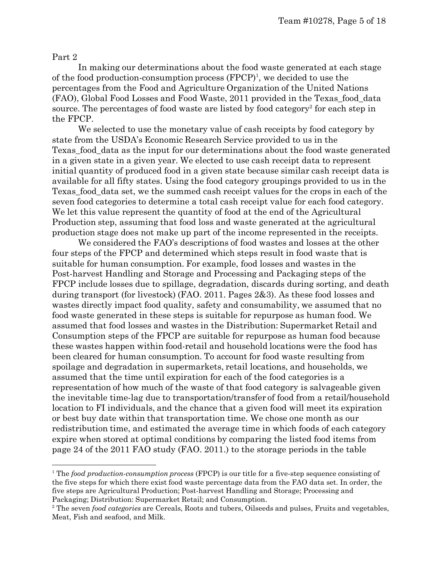#### Part 2

In making our determinations about the food waste generated at each stage of the food production-consumption process  $(FPCP)^1$ , we decided to use the percentages from the Food and Agriculture Organization of the United Nations (FAO), Global Food Losses and Food Waste, 2011 provided in the Texas\_food\_data source. The percentages of food waste are listed by food category<sup>2</sup> for each step in the FPCP.

We selected to use the monetary value of cash receipts by food category by state from the USDA's Economic Research Service provided to us in the Texas\_food\_data as the input for our determinations about the food waste generated in a given state in a given year. We elected to use cash receipt data to represent initial quantity of produced food in a given state because similar cash receipt data is available for all fifty states. Using the food category groupings provided to us in the Texas\_food\_data set, we the summed cash receipt values for the crops in each of the seven food categories to determine a total cash receipt value for each food category. We let this value represent the quantity of food at the end of the Agricultural Production step, assuming that food loss and waste generated at the agricultural production stage does not make up part of the income represented in the receipts.

We considered the FAO's descriptions of food wastes and losses at the other four steps of the FPCP and determined which steps result in food waste that is suitable for human consumption. For example, food losses and wastes in the Post-harvest Handling and Storage and Processing and Packaging steps of the FPCP include losses due to spillage, degradation, discards during sorting, and death during transport (for livestock) (FAO. 2011. Pages 2&3). As these food losses and wastes directly impact food quality, safety and consumability, we assumed that no food waste generated in these steps is suitable for repurpose as human food. We assumed that food losses and wastes in the Distribution: Supermarket Retail and Consumption steps of the FPCP are suitable for repurpose as human food because these wastes happen within food-retail and household locations were the food has been cleared for human consumption. To account for food waste resulting from spoilage and degradation in supermarkets, retail locations, and households, we assumed that the time until expiration for each of the food categories is a representation of how much of the waste of that food category is salvageable given the inevitable time-lag due to transportation/transfer of food from a retail/household location to FI individuals, and the chance that a given food will meet its expiration or best buy date within that transportation time. We chose one month as our redistribution time, and estimated the average time in which foods of each category expire when stored at optimal conditions by comparing the listed food items from page 24 of the 2011 FAO study (FAO. 2011.) to the storage periods in the table

<sup>1</sup> The *food production-consumption process* (FPCP) is our title for a five-step sequence consisting of the five steps for which there exist food waste percentage data from the FAO data set. In order, the five steps are Agricultural Production; Post-harvest Handling and Storage; Processing and Packaging; Distribution: Supermarket Retail; and Consumption.

<sup>2</sup> The seven *food categories* are Cereals, Roots and tubers, Oilseeds and pulses, Fruits and vegetables, Meat, Fish and seafood, and Milk.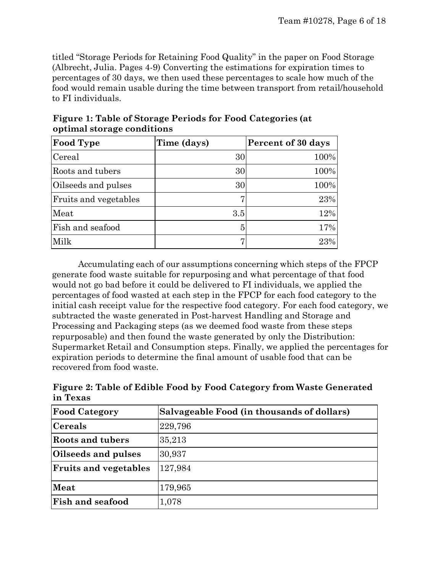titled "Storage Periods for Retaining Food Quality" in the paper on Food Storage (Albrecht, Julia. Pages 4-9) Converting the estimations for expiration times to percentages of 30 days, we then used these percentages to scale how much of the food would remain usable during the time between transport from retail/household to FI individuals.

| <b>Food Type</b>             | Time (days) | Percent of 30 days |
|------------------------------|-------------|--------------------|
| Cereal                       | 30          | 100%               |
| Roots and tubers             | 30          | 100%               |
| Oilseeds and pulses          | 30          | 100%               |
| <b>Fruits and vegetables</b> | 7.          | 23%                |
| Meat                         | 3.5         | 12%                |
| Fish and seafood             | 5           | 17%                |
| Milk                         | 7           | 23%                |

**Figure 1: Table of Storage Periods for Food Categories (at optimal storage conditions**

Accumulating each of our assumptions concerning which steps of the FPCP generate food waste suitable for repurposing and what percentage of that food would not go bad before it could be delivered to FI individuals, we applied the percentages of food wasted at each step in the FPCP for each food category to the initial cash receipt value for the respective food category. For each food category, we subtracted the waste generated in Post-harvest Handling and Storage and Processing and Packaging steps (as we deemed food waste from these steps repurposable) and then found the waste generated by only the Distribution: Supermarket Retail and Consumption steps. Finally, we applied the percentages for expiration periods to determine the final amount of usable food that can be recovered from food waste.

**Figure 2: Table of Edible Food by Food Category from Waste Generated in Texas**

| <b>Food Category</b>         | Salvageable Food (in thousands of dollars) |
|------------------------------|--------------------------------------------|
| $ {\rm C}$ ereals            | 229,796                                    |
| Roots and tubers             | 35,213                                     |
| Oilseeds and pulses          | 30,937                                     |
| <b>Fruits and vegetables</b> | 127,984                                    |
| Meat                         | 179,965                                    |
| <b>Fish and seafood</b>      | 1,078                                      |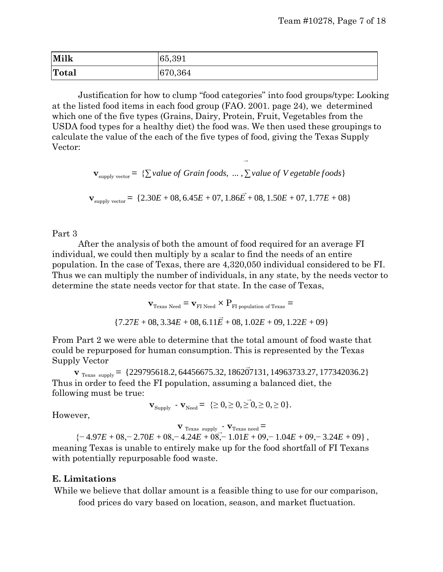| Milk  | 65,391  |
|-------|---------|
| Total | 670,364 |

Justification for how to clump "food categories" into food groups/type: Looking at the listed food items in each food group (FAO. 2001. page 24), we determined which one of the five types (Grains, Dairy, Protein, Fruit, Vegetables from the USDA food types for a healthy diet) the food was. We then used these groupings to calculate the value of the each of the five types of food, giving the Texas Supply Vector:

**v**<sub>supply</sub> vector = {∑*value of Grain foods, ...,* ∑*value of V egetable foods*}

→

 $\mathbf{v}_{\text{supply vector}} = \{2.30E + 08, 6.45E + 07, 1.86\vec{E} + 08, 1.50E + 07, 1.77E + 08\}$ 

#### Part 3

After the analysis of both the amount of food required for an average FI individual, we could then multiply by a scalar to find the needs of an entire population. In the case of Texas, there are 4,320,050 individual considered to be FI. Thus we can multiply the number of individuals, in any state, by the needs vector to determine the state needs vector for that state. In the case of Texas,

$$
\mathbf{v}_{\text{Texas Need}} = \mathbf{v}_{\text{FI Need}} \times P_{\text{FI population of Texas}} =
$$
\n
$$
\{7.27E + 08, 3.34E + 08, 6.11E + 08, 1.02E + 09, 1.22E + 09\}
$$

From Part 2 we were able to determine that the total amount of food waste that could be repurposed for human consumption. This is represented by the Texas Supply Vector

 $\mathbf{v}_{\text{Texas supply}} = \{229795618.2, 64456675.32, 186207131, 14963733.27, 177342036.2\}$ Thus in order to feed the FI population, assuming a balanced diet, the following must be true:

$$
\mathbf{v}_{\text{Supply}} \cdot \mathbf{v}_{\text{Need}} = \{\geq 0, \geq 0, \geq 0, \geq 0, \geq 0\}.
$$

However,

 $\bf{v}$  Texas supply  $\bf{v}$ <sup>-</sup>  $\bf{v}$ <sub>Texas need</sub>  $=$ {− 4.97*E* + 08,− 2.70*E* + 08,− 4.24*E* + 08,− 1.01*E* + 09,− 1.04*E* + 09,− 3.24*E* + 09} , meaning Texas is unable to entirely make up for the food shortfall of FI Texans with potentially repurposable food waste.

#### **E. Limitations**

While we believe that dollar amount is a feasible thing to use for our comparison, food prices do vary based on location, season, and market fluctuation.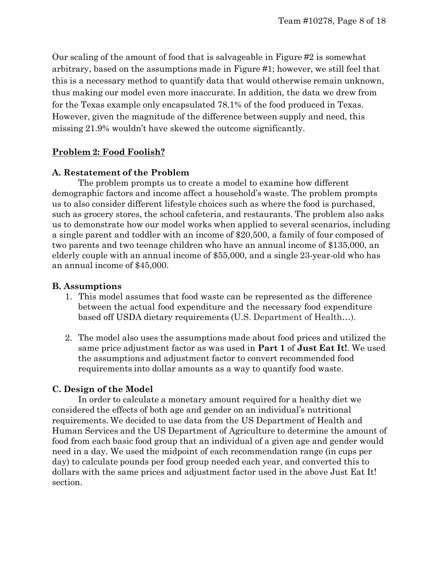Our scaling of the amount of food that is salvageable in Figure #2 is somewhat arbitrary, based on the assumptions made in Figure #1; however, we still feel that this is a necessary method to quantify data that would otherwise remain unknown, thus making our model even more inaccurate. In addition, the data we drew from for the Texas example only encapsulated 78.1% of the food produced in Texas. However, given the magnitude of the difference between supply and need, this missing 21.9% wouldn't have skewed the outcome significantly.

#### **Problem 2: Food Foolish?**

#### **A. Restatement of the Problem**

The problem prompts us to create a model to examine how different demographic factors and income affect a household's waste. The problem prompts us to also consider different lifestyle choices such as where the food is purchased, such as grocery stores, the school cafeteria, and restaurants. The problem also asks us to demonstrate how our model works when applied to several scenarios, including a single parent and toddler with an income of \$20,500, a family of four composed of two parents and two teenage children who have an annual income of \$135,000, an elderly couple with an annual income of \$55,000, and a single 23-year-old who has an annual income of \$45,000.

#### **B. Assumptions**

- 1. This model assumes that food waste can be represented as the difference between the actual food expenditure and the necessary food expenditure based off USDA dietary requirements (U.S. Department of Health…).
- 2. The model also uses the assumptions made about food prices and utilized the same price adjustment factor as was used in **Part 1** of **Just Eat It!**. We used the assumptions and adjustment factor to convert recommended food requirements into dollar amounts as a way to quantify food waste.

#### **C. Design of the Model**

In order to calculate a monetary amount required for a healthy diet we considered the effects of both age and gender on an individual's nutritional requirements. We decided to use data from the US Department of Health and Human Services and the US Department of Agriculture to determine the amount of food from each basic food group that an individual of a given age and gender would need in a day. We used the midpoint of each recommendation range (in cups per day) to calculate pounds per food group needed each year, and converted this to dollars with the same prices and adjustment factor used in the above Just Eat It! section.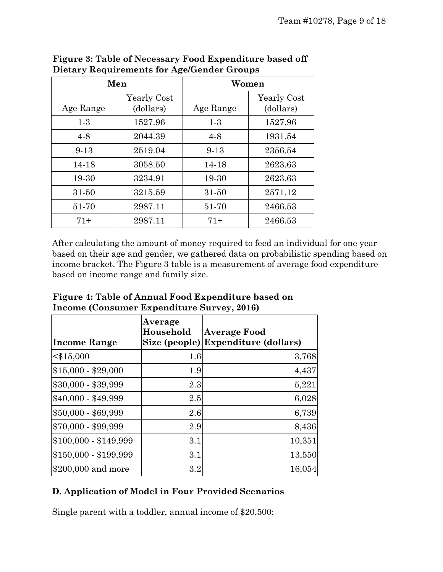|           | Men         | Women     |             |  |  |  |
|-----------|-------------|-----------|-------------|--|--|--|
|           | Yearly Cost |           | Yearly Cost |  |  |  |
| Age Range | (dollars)   | Age Range | (dollars)   |  |  |  |
| $1-3$     | 1527.96     | $1-3$     | 1527.96     |  |  |  |
| $4-8$     | 2044.39     | $4-8$     | 1931.54     |  |  |  |
| $9-13$    | 2519.04     | $9 - 13$  | 2356.54     |  |  |  |
| 14-18     | 3058.50     | 14-18     | 2623.63     |  |  |  |
| 19-30     | 3234.91     | 19-30     | 2623.63     |  |  |  |
| $31 - 50$ | 3215.59     | $31 - 50$ | 2571.12     |  |  |  |
| 51-70     | 2987.11     | 51-70     | 2466.53     |  |  |  |
| $71+$     | 2987.11     | 71+       | 2466.53     |  |  |  |

**Figure 3: Table of Necessary Food Expenditure based off Dietary Requirements for Age/Gender Groups**

After calculating the amount of money required to feed an individual for one year based on their age and gender, we gathered data on probabilistic spending based on income bracket. The Figure 3 table is a measurement of average food expenditure based on income range and family size.

| Figure 4: Table of Annual Food Expenditure based on |
|-----------------------------------------------------|
| Income (Consumer Expenditure Survey, 2016)          |

| <b>Income Range</b>   | Average<br>Household | Average Food<br>Size (people) Expenditure (dollars) |
|-----------------------|----------------------|-----------------------------------------------------|
| $<$ \$15,000          | 1.6                  | 3,768                                               |
| $$15,000 - $29,000$   | 1.9                  | 4,437                                               |
| \$30,000 - \$39,999   | 2.3                  | 5,221                                               |
| $$40,000 - $49,999$   | 2.5                  | 6,028                                               |
| \$50,000 - \$69,999   | 2.6                  | 6,739                                               |
| \$70,000 - \$99,999   | 2.9                  | 8,436                                               |
| $$100,000 - $149,999$ | 3.1                  | 10,351                                              |
| $$150,000 - $199,999$ | 3.1                  | 13,550                                              |
| \$200,000 and more    | 3.2                  | 16,054                                              |

#### **D. Application of Model in Four Provided Scenarios**

Single parent with a toddler, annual income of \$20,500: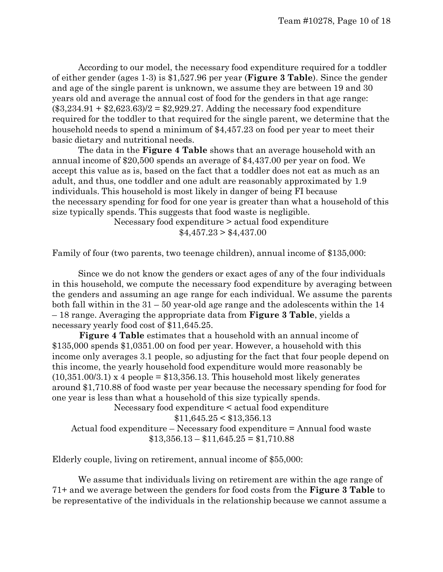According to our model, the necessary food expenditure required for a toddler of either gender (ages 1-3) is \$1,527.96 per year (**Figure 3 Table**). Since the gender and age of the single parent is unknown, we assume they are between 19 and 30 years old and average the annual cost of food for the genders in that age range:  $($3,234.91 + $2,623.63)/2 = $2,929.27.$  Adding the necessary food expenditure required for the toddler to that required for the single parent, we determine that the household needs to spend a minimum of \$4,457.23 on food per year to meet their basic dietary and nutritional needs.

The data in the **Figure 4 Table** shows that an average household with an annual income of \$20,500 spends an average of \$4,437.00 per year on food. We accept this value as is, based on the fact that a toddler does not eat as much as an adult, and thus, one toddler and one adult are reasonably approximated by 1.9 individuals. This household is most likely in danger of being FI because the necessary spending for food for one year is greater than what a household of this size typically spends. This suggests that food waste is negligible.

Necessary food expenditure > actual food expenditure

 $$4,457.23 > $4,437.00$ 

Family of four (two parents, two teenage children), annual income of \$135,000:

Since we do not know the genders or exact ages of any of the four individuals in this household, we compute the necessary food expenditure by averaging between the genders and assuming an age range for each individual. We assume the parents both fall within in the  $31 - 50$  year-old age range and the adolescents within the 14 – 18 range. Averaging the appropriate data from **Figure 3 Table**, yields a necessary yearly food cost of \$11,645.25.

**Figure 4 Table** estimates that a household with an annual income of \$135,000 spends \$1,0351.00 on food per year. However, a household with this income only averages 3.1 people, so adjusting for the fact that four people depend on this income, the yearly household food expenditure would more reasonably be  $(10,351.00/3.1)$  x 4 people = \$13,356.13. This household most likely generates around \$1,710.88 of food waste per year because the necessary spending for food for one year is less than what a household of this size typically spends.

Necessary food expenditure < actual food expenditure

 $$11,645.25 < $13,356.13$ 

Actual food expenditure – Necessary food expenditure = Annual food waste  $$13,356.13 - $11,645.25 = $1,710.88$ 

Elderly couple, living on retirement, annual income of \$55,000:

We assume that individuals living on retirement are within the age range of 71+ and we average between the genders for food costs from the **Figure 3 Table** to be representative of the individuals in the relationship because we cannot assume a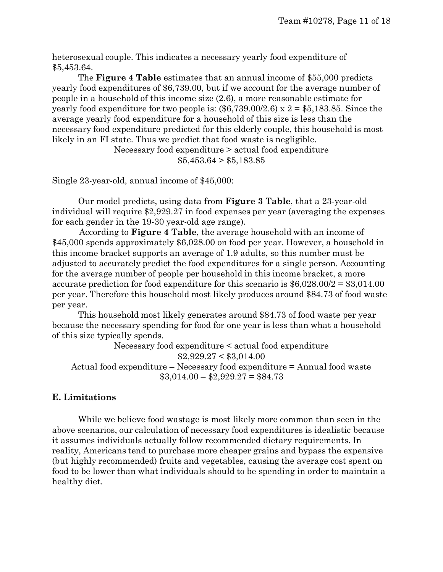heterosexual couple. This indicates a necessary yearly food expenditure of \$5,453.64.

The **Figure 4 Table** estimates that an annual income of \$55,000 predicts yearly food expenditures of \$6,739.00, but if we account for the average number of people in a household of this income size (2.6), a more reasonable estimate for yearly food expenditure for two people is:  $(\$6,739.00/2.6) \times 2 = \$5,183.85$ . Since the average yearly food expenditure for a household of this size is less than the necessary food expenditure predicted for this elderly couple, this household is most likely in an FI state. Thus we predict that food waste is negligible.

> Necessary food expenditure > actual food expenditure  $$5,453.64 > $5,183.85$

Single 23-year-old, annual income of \$45,000:

Our model predicts, using data from **Figure 3 Table**, that a 23-year-old individual will require \$2,929.27 in food expenses per year (averaging the expenses for each gender in the 19-30 year-old age range).

According to **Figure 4 Table**, the average household with an income of \$45,000 spends approximately \$6,028.00 on food per year. However, a household in this income bracket supports an average of 1.9 adults, so this number must be adjusted to accurately predict the food expenditures for a single person. Accounting for the average number of people per household in this income bracket, a more accurate prediction for food expenditure for this scenario is  $$6,028.00/2 = $3,014.00$ per year. Therefore this household most likely produces around \$84.73 of food waste per year.

This household most likely generates around \$84.73 of food waste per year because the necessary spending for food for one year is less than what a household of this size typically spends.

Necessary food expenditure < actual food expenditure  $$2,929.27 < $3,014.00$ Actual food expenditure – Necessary food expenditure = Annual food waste  $$3,014.00 - $2,929.27 = $84.73$ 

#### **E. Limitations**

While we believe food wastage is most likely more common than seen in the above scenarios, our calculation of necessary food expenditures is idealistic because it assumes individuals actually follow recommended dietary requirements. In reality, Americans tend to purchase more cheaper grains and bypass the expensive (but highly recommended) fruits and vegetables, causing the average cost spent on food to be lower than what individuals should to be spending in order to maintain a healthy diet.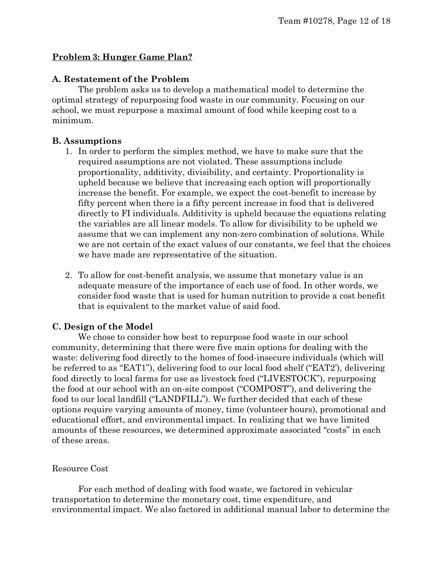#### **Problem 3: Hunger Game Plan?**

#### **A. Restatement of the Problem**

The problem asks us to develop a mathematical model to determine the optimal strategy of repurposing food waste in our community. Focusing on our school, we must repurpose a maximal amount of food while keeping cost to a minimum.

#### **B. Assumptions**

- 1. In order to perform the simplex method, we have to make sure that the required assumptions are not violated. These assumptions include proportionality, additivity, divisibility, and certainty. Proportionality is upheld because we believe that increasing each option will proportionally increase the benefit. For example, we expect the cost-benefit to increase by fifty percent when there is a fifty percent increase in food that is delivered directly to FI individuals. Additivity is upheld because the equations relating the variables are all linear models. To allow for divisibility to be upheld we assume that we can implement any non-zero combination of solutions. While we are not certain of the exact values of our constants, we feel that the choices we have made are representative of the situation.
- 2. To allow for cost-benefit analysis, we assume that monetary value is an adequate measure of the importance of each use of food. In other words, we consider food waste that is used for human nutrition to provide a cost benefit that is equivalent to the market value of said food.

#### **C. Design of the Model**

We chose to consider how best to repurpose food waste in our school community, determining that there were five main options for dealing with the waste: delivering food directly to the homes of food-insecure individuals (which will be referred to as "EAT1"), delivering food to our local food shelf ("EAT2'), delivering food directly to local farms for use as livestock feed ("LIVESTOCK"), repurposing the food at our school with an on-site compost ("COMPOST"), and delivering the food to our local landfill ("LANDFILL"). We further decided that each of these options require varying amounts of money, time (volunteer hours), promotional and educational effort, and environmental impact. In realizing that we have limited amounts of these resources, we determined approximate associated "costs" in each of these areas.

#### Resource Cost

For each method of dealing with food waste, we factored in vehicular transportation to determine the monetary cost, time expenditure, and environmental impact. We also factored in additional manual labor to determine the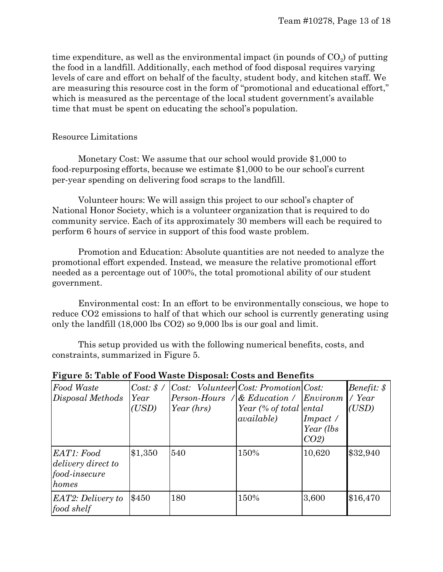time expenditure, as well as the environmental impact (in pounds of  $CO<sub>2</sub>$ ) of putting the food in a landfill. Additionally, each method of food disposal requires varying levels of care and effort on behalf of the faculty, student body, and kitchen staff. We are measuring this resource cost in the form of "promotional and educational effort," which is measured as the percentage of the local student government's available time that must be spent on educating the school's population.

#### Resource Limitations

Monetary Cost: We assume that our school would provide \$1,000 to food-repurposing efforts, because we estimate \$1,000 to be our school's current per-year spending on delivering food scraps to the landfill.

Volunteer hours: We will assign this project to our school's chapter of National Honor Society, which is a volunteer organization that is required to do community service. Each of its approximately 30 members will each be required to perform 6 hours of service in support of this food waste problem.

Promotion and Education: Absolute quantities are not needed to analyze the promotional effort expended. Instead, we measure the relative promotional effort needed as a percentage out of 100%, the total promotional ability of our student government.

Environmental cost: In an effort to be environmentally conscious, we hope to reduce CO2 emissions to half of that which our school is currently generating using only the landfill (18,000 lbs CO2) so 9,000 lbs is our goal and limit.

This setup provided us with the following numerical benefits, costs, and constraints, summarized in Figure 5.

| Food Waste<br>Disposal Methods                                    | $Cost: \$ /<br>Year<br>(USD) | $ Cost:$ Volunteer $ Cost:$ Promotion $Cost:$<br>Person-Hours / & Education / Environm<br>Year (hrs) | Year (% of total ental<br><i>available</i> ) | Impect/<br>Year (lbs)<br>$CO2$ ) | Benefit: \$<br>$\angle$ Year<br>(USD) |
|-------------------------------------------------------------------|------------------------------|------------------------------------------------------------------------------------------------------|----------------------------------------------|----------------------------------|---------------------------------------|
| EAT1: Food<br>delivery direct to<br><i>food-insecure</i><br>homes | \$1,350                      | 540                                                                                                  | 150%                                         | 10,620                           | \$32,940                              |
| EAT2: Delivery to<br>food shelf                                   | \$450                        | 180                                                                                                  | 150%                                         | 3,600                            | \$16,470                              |

#### **Figure 5: Table of Food Waste Disposal: Costs and Benefits**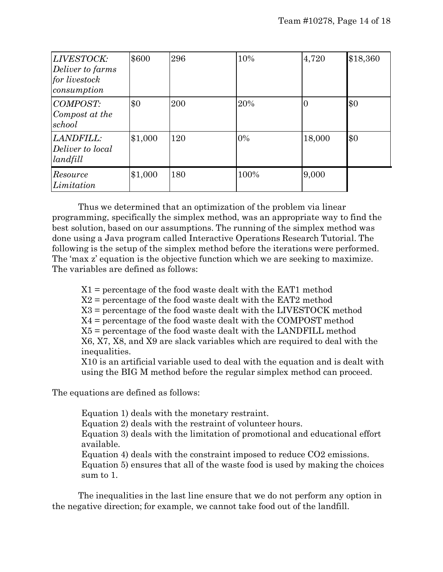| LIVESTOCK:<br>Deliver to farms<br>for livestock<br>consumption | \$600   | 296 | 10%   | 4,720        | \$18,360 |
|----------------------------------------------------------------|---------|-----|-------|--------------|----------|
| <b>COMPOST:</b><br>Compost at the<br>school                    | \$0     | 200 | 20%   | $\mathbf{0}$ | \$0      |
| LANDFILL:<br>Deliver to local<br>landfill                      | \$1,000 | 120 | $0\%$ | 18,000       | \$0      |
| Resource<br>Limitation                                         | \$1,000 | 180 | 100%  | 9,000        |          |

Thus we determined that an optimization of the problem via linear programming, specifically the simplex method, was an appropriate way to find the best solution, based on our assumptions. The running of the simplex method was done using a Java program called Interactive Operations Research Tutorial. The following is the setup of the simplex method before the iterations were performed. The 'max z' equation is the objective function which we are seeking to maximize. The variables are defined as follows:

X1 = percentage of the food waste dealt with the EAT1 method

 $X2$  = percentage of the food waste dealt with the EAT2 method

X3 = percentage of the food waste dealt with the LIVESTOCK method

X4 = percentage of the food waste dealt with the COMPOST method

X5 = percentage of the food waste dealt with the LANDFILL method

X6, X7, X8, and X9 are slack variables which are required to deal with the inequalities.

X10 is an artificial variable used to deal with the equation and is dealt with using the BIG M method before the regular simplex method can proceed.

The equations are defined as follows:

Equation 1) deals with the monetary restraint.

Equation 2) deals with the restraint of volunteer hours.

Equation 3) deals with the limitation of promotional and educational effort available.

Equation 4) deals with the constraint imposed to reduce CO2 emissions.

Equation 5) ensures that all of the waste food is used by making the choices sum to 1.

The inequalities in the last line ensure that we do not perform any option in the negative direction; for example, we cannot take food out of the landfill.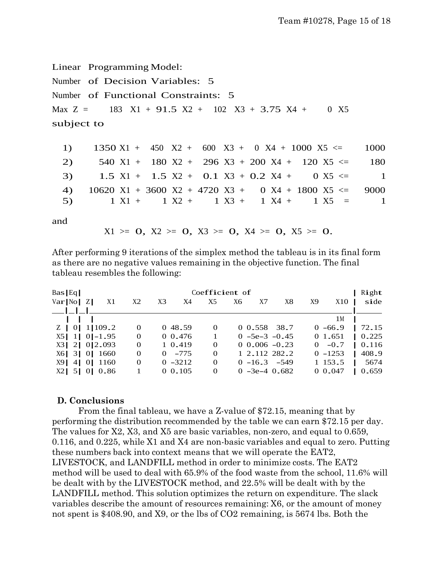Linear Programming Model:

Number of Decision Variables: 5 Number of Functional Constraints: 5 Max  $Z = 183 \text{ X}1 + 91.5 \text{ X}2 + 102 \text{ X}3 + 3.75 \text{ X}4 + 0 \text{ X}5$ subject to

| 1) $1350 \text{ X1} + 450 \text{ X2} + 600 \text{ X3} + 0 \text{ X4} + 1000 \text{ X5} \le 1000$ |  |  |  |  |  |  |  |  |
|--------------------------------------------------------------------------------------------------|--|--|--|--|--|--|--|--|
| 2) $540 \text{ X1} + 180 \text{ X2} + 296 \text{ X3} + 200 \text{ X4} + 120 \text{ X5} \leq 180$ |  |  |  |  |  |  |  |  |
| 3) 1.5 X1 + 1.5 X2 + 0.1 X3 + 0.2 X4 + 0 X5 $\leq$ 1                                             |  |  |  |  |  |  |  |  |
| 4) $10620 X1 + 3600 X2 + 4720 X3 + 0 X4 + 1800 X5 \le 9000$                                      |  |  |  |  |  |  |  |  |
| 5) $1 X1 + 1 X2 + 1 X3 + 1 X4 + 1 X5 = 1$                                                        |  |  |  |  |  |  |  |  |

and

 $X1 \geq 0$ ,  $X2 \geq 0$ ,  $X3 \geq 0$ ,  $X4 \geq 0$ ,  $X5 \geq 0$ .

After performing 9 iterations of the simplex method the tableau is in its final form as there are no negative values remaining in the objective function. The final tableau resembles the following:

| $Bas$ Eq          | Coefficient of<br>Right |    |                      |  |            |          |    |       |                     |          |            |  |              |
|-------------------|-------------------------|----|----------------------|--|------------|----------|----|-------|---------------------|----------|------------|--|--------------|
| Var[No Z]         |                         | X1 | X <sub>3</sub><br>X2 |  | X4         | X5       | X6 | X7    | X8                  | X9       | X10        |  | side         |
|                   |                         |    |                      |  |            |          |    |       |                     |          |            |  |              |
|                   |                         |    |                      |  |            |          |    |       |                     |          | 1М         |  |              |
| $Z$   0  1  109.2 |                         |    | $\Omega$             |  | 0 48.59    | $\Omega$ |    | 0.558 | 38.7                |          | $0 - 66.9$ |  | 72.15        |
| $X5$ 1 0 -1.95    |                         |    | 0                    |  | 0.476      |          |    |       | $0 - 5e - 3 - 0.45$ |          | 0 1.651    |  | $\mid 0.225$ |
| X3 2 0 2.093      |                         |    | 0                    |  | 1 0.419    | $\Omega$ |    |       | $0.006 - 0.23$      | $\Omega$ | $-0.7$     |  | 0.116        |
| X6 3 0 1660       |                         |    | $\Omega$             |  | $0 - 775$  | $\Omega$ |    |       | 1 2.112 282.2       |          | $0 - 1253$ |  | 408.9        |
| X91               | 4 0 1160                |    | $\Omega$             |  | $0 - 3212$ | $\Omega$ |    |       | $0 - 16.3 - 549$    |          | 1 153.5    |  | 5674         |
| $X2$ 5 0 0 0.86   |                         |    |                      |  | 0.0.105    | $\Omega$ |    |       | $0 - 3e - 40.682$   |          | 0.047      |  | 0.659        |

#### **D. Conclusions**

From the final tableau, we have a Z-value of \$72.15, meaning that by performing the distribution recommended by the table we can earn \$72.15 per day. The values for X2, X3, and X5 are basic variables, non-zero, and equal to 0.659, 0.116, and 0.225, while X1 and X4 are non-basic variables and equal to zero. Putting these numbers back into context means that we will operate the EAT2, LIVESTOCK, and LANDFILL method in order to minimize costs. The EAT2 method will be used to deal with 65.9% of the food waste from the school, 11.6% will be dealt with by the LIVESTOCK method, and 22.5% will be dealt with by the LANDFILL method. This solution optimizes the return on expenditure. The slack variables describe the amount of resources remaining: X6, or the amount of money not spent is \$408.90, and X9, or the lbs of CO2 remaining, is 5674 lbs. Both the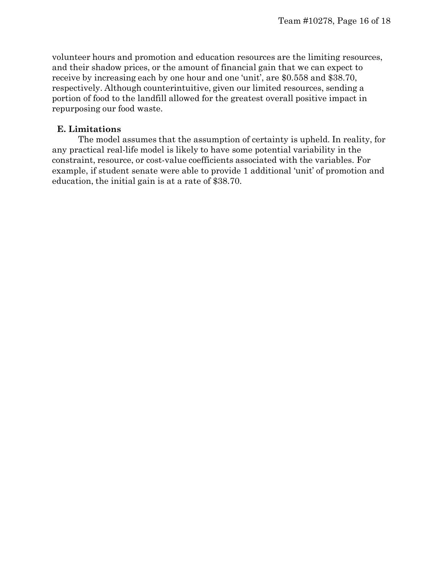volunteer hours and promotion and education resources are the limiting resources, and their shadow prices, or the amount of financial gain that we can expect to receive by increasing each by one hour and one 'unit', are \$0.558 and \$38.70, respectively. Although counterintuitive, given our limited resources, sending a portion of food to the landfill allowed for the greatest overall positive impact in repurposing our food waste.

#### **E. Limitations**

The model assumes that the assumption of certainty is upheld. In reality, for any practical real-life model is likely to have some potential variability in the constraint, resource, or cost-value coefficients associated with the variables. For example, if student senate were able to provide 1 additional 'unit' of promotion and education, the initial gain is at a rate of \$38.70.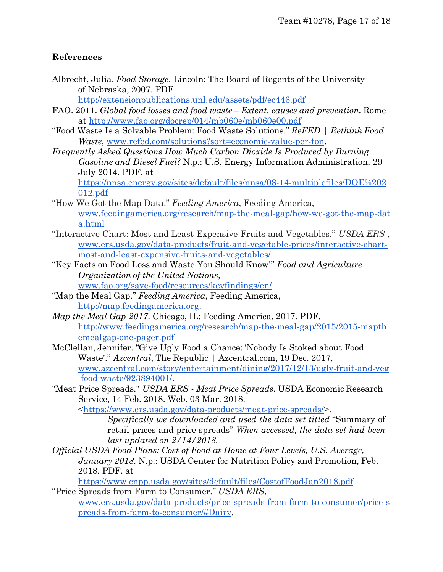#### **References**

Albrecht, Julia. *Food Storage*. Lincoln: The Board of Regents of the University of Nebraska, 2007. PDF.

<http://extensionpublications.unl.edu/assets/pdf/ec446.pdf>

- FAO. 2011. *Global food losses and food waste – Extent, causes and prevention.* Rome at<http://www.fao.org/docrep/014/mb060e/mb060e00.pdf>
- "Food Waste Is a Solvable Problem: Food Waste Solutions." *ReFED | Rethink Food Waste*, [www.refed.com/solutions?sort=economic-value-per-ton.](http://www.refed.com/solutions?sort=economic-value-per-ton)
- *Frequently Asked Questions How Much Carbon Dioxide Is Produced by Burning Gasoline and Diesel Fuel?* N.p.: U.S. Energy Information Administration, 29 July 2014. PDF. at [https://nnsa.energy.gov/sites/default/files/nnsa/08-14-multiplefiles/DOE%202](https://nnsa.energy.gov/sites/default/files/nnsa/08-14-multiplefiles/DOE%202012.pdf)

[012.pdf](https://nnsa.energy.gov/sites/default/files/nnsa/08-14-multiplefiles/DOE%202012.pdf)

- "How We Got the Map Data." *Feeding America*, Feeding America, [www.feedingamerica.org/research/map-the-meal-gap/how-we-got-the-map-dat](http://www.feedingamerica.org/research/map-the-meal-gap/how-we-got-the-map-data.html) [a.html](http://www.feedingamerica.org/research/map-the-meal-gap/how-we-got-the-map-data.html)
- "Interactive Chart: Most and Least Expensive Fruits and Vegetables." *USDA ERS* , [www.ers.usda.gov/data-products/fruit-and-vegetable-prices/interactive-chart](http://www.ers.usda.gov/data-products/fruit-and-vegetable-prices/interactive-chart-most-and-least-expensive-fruits-and-vegetables/)[most-and-least-expensive-fruits-and-vegetables/.](http://www.ers.usda.gov/data-products/fruit-and-vegetable-prices/interactive-chart-most-and-least-expensive-fruits-and-vegetables/)
- "Key Facts on Food Loss and Waste You Should Know!" *Food and Agriculture Organization of the United Nations*, [www.fao.org/save-food/resources/keyfindings/en/.](http://www.fao.org/save-food/resources/keyfindings/en/)
- "Map the Meal Gap." *Feeding America*, Feeding America, [http://map.feedingamerica.org.](http://map.feedingamerica.org/)
- *Map the Meal Gap 2017*. Chicago, IL: Feeding America, 2017. PDF. [http://www.feedingamerica.org/research/map-the-meal-gap/2015/2015-mapth](http://www.feedingamerica.org/research/map-the-meal-gap/2015/2015-mapthemealgap-one-pager.pdf) [emealgap-one-pager.pdf](http://www.feedingamerica.org/research/map-the-meal-gap/2015/2015-mapthemealgap-one-pager.pdf)
- McClellan, Jennifer. "Give Ugly Food a Chance: 'Nobody Is Stoked about Food Waste'." *Azcentral*, The Republic | Azcentral.com, 19 Dec. 2017, [www.azcentral.com/story/entertainment/dining/2017/12/13/ugly-fruit-and-veg](http://www.azcentral.com/story/entertainment/dining/2017/12/13/ugly-fruit-and-veg-food-waste/923894001/) [-food-waste/923894001/.](http://www.azcentral.com/story/entertainment/dining/2017/12/13/ugly-fruit-and-veg-food-waste/923894001/)
- "Meat Price Spreads." *USDA ERS - Meat Price Spreads*. USDA Economic Research Service, 14 Feb. 2018. Web. 03 Mar. 2018.

[<https://www.ers.usda.gov/data-products/meat-price-spreads/>](https://www.ers.usda.gov/data-products/meat-price-spreads/).

*Specifically we downloaded and used the data set titled* ["Summary of](https://www.ers.usda.gov/webdocs/DataFiles/52160/sumtab.xls?v=43145) [retail prices](https://www.ers.usda.gov/webdocs/DataFiles/52160/sumtab.xls?v=43145) and price spreads" *When accessed, the data set had been last updated on 2/14/2018.*

*Official USDA Food Plans: Cost of Food [at Home at Four](http://www.easybib.com/cite/view) Levels, U.S. Average, [January](http://www.easybib.com/cite/view) 2018*. N.p.: USDA Center for Nutrition Policy [and Promotion,](http://www.easybib.com/cite/view) Feb. [2018. P](http://www.easybib.com/cite/view)DF. at

<https://www.cnpp.usda.gov/sites/default/files/CostofFoodJan2018.pdf>

"Price Spreads from Farm to Consumer." *USDA ERS*, [www.ers.usda.gov/data-products/price-spreads-from-farm-to-consumer/price-s](http://www.ers.usda.gov/data-products/price-spreads-from-farm-to-consumer/price-spreads-from-farm-to-consumer/#Dairy) [preads-from-farm-to-consumer/#Dairy.](http://www.ers.usda.gov/data-products/price-spreads-from-farm-to-consumer/price-spreads-from-farm-to-consumer/#Dairy)